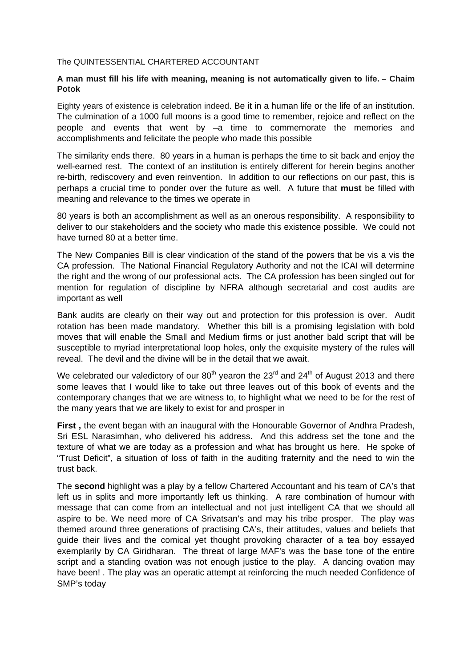## The QUINTESSENTIAL CHARTERED ACCOUNTANT

## **A man must fill his life with meaning, meaning is not automatically given to life. – Chaim Potok**

Eighty years of existence is celebration indeed. Be it in a human life or the life of an institution. The culmination of a 1000 full moons is a good time to remember, rejoice and reflect on the people and events that went by –a time to commemorate the memories and accomplishments and felicitate the people who made this possible

The similarity ends there. 80 years in a human is perhaps the time to sit back and enjoy the well-earned rest. The context of an institution is entirely different for herein begins another re-birth, rediscovery and even reinvention. In addition to our reflections on our past, this is perhaps a crucial time to ponder over the future as well. A future that **must** be filled with meaning and relevance to the times we operate in

80 years is both an accomplishment as well as an onerous responsibility. A responsibility to deliver to our stakeholders and the society who made this existence possible. We could not have turned 80 at a better time.

The New Companies Bill is clear vindication of the stand of the powers that be vis a vis the CA profession. The National Financial Regulatory Authority and not the ICAI will determine the right and the wrong of our professional acts. The CA profession has been singled out for mention for regulation of discipline by NFRA although secretarial and cost audits are important as well

Bank audits are clearly on their way out and protection for this profession is over. Audit rotation has been made mandatory. Whether this bill is a promising legislation with bold moves that will enable the Small and Medium firms or just another bald script that will be susceptible to myriad interpretational loop holes, only the exquisite mystery of the rules will reveal. The devil and the divine will be in the detail that we await.

We celebrated our valedictory of our  $80<sup>th</sup>$  yearon the 23<sup>rd</sup> and 24<sup>th</sup> of August 2013 and there some leaves that I would like to take out three leaves out of this book of events and the contemporary changes that we are witness to, to highlight what we need to be for the rest of the many years that we are likely to exist for and prosper in

**First ,** the event began with an inaugural with the Honourable Governor of Andhra Pradesh, Sri ESL Narasimhan, who delivered his address. And this address set the tone and the texture of what we are today as a profession and what has brought us here. He spoke of "Trust Deficit", a situation of loss of faith in the auditing fraternity and the need to win the trust back.

The **second** highlight was a play by a fellow Chartered Accountant and his team of CA's that left us in splits and more importantly left us thinking. A rare combination of humour with message that can come from an intellectual and not just intelligent CA that we should all aspire to be. We need more of CA Srivatsan's and may his tribe prosper. The play was themed around three generations of practising CA's, their attitudes, values and beliefs that guide their lives and the comical yet thought provoking character of a tea boy essayed exemplarily by CA Giridharan. The threat of large MAF's was the base tone of the entire script and a standing ovation was not enough justice to the play. A dancing ovation may have been! . The play was an operatic attempt at reinforcing the much needed Confidence of SMP's today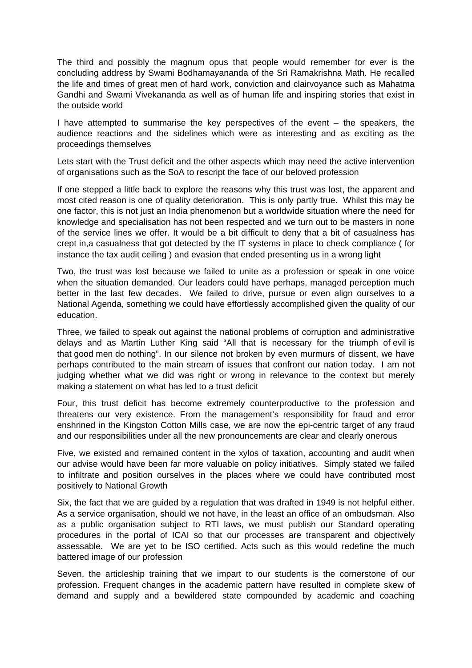The third and possibly the magnum opus that people would remember for ever is the concluding address by Swami Bodhamayananda of the Sri Ramakrishna Math. He recalled the life and times of great men of hard work, conviction and clairvoyance such as Mahatma Gandhi and Swami Vivekananda as well as of human life and inspiring stories that exist in the outside world

I have attempted to summarise the key perspectives of the event – the speakers, the audience reactions and the sidelines which were as interesting and as exciting as the proceedings themselves

Lets start with the Trust deficit and the other aspects which may need the active intervention of organisations such as the SoA to rescript the face of our beloved profession

If one stepped a little back to explore the reasons why this trust was lost, the apparent and most cited reason is one of quality deterioration. This is only partly true. Whilst this may be one factor, this is not just an India phenomenon but a worldwide situation where the need for knowledge and specialisation has not been respected and we turn out to be masters in none of the service lines we offer. It would be a bit difficult to deny that a bit of casualness has crept in,a casualness that got detected by the IT systems in place to check compliance ( for instance the tax audit ceiling ) and evasion that ended presenting us in a wrong light

Two, the trust was lost because we failed to unite as a profession or speak in one voice when the situation demanded. Our leaders could have perhaps, managed perception much better in the last few decades. We failed to drive, pursue or even align ourselves to a National Agenda, something we could have effortlessly accomplished given the quality of our education.

Three, we failed to speak out against the national problems of corruption and administrative delays and as Martin Luther King said "All that is necessary for the triumph of evil is that good men do nothing". In our silence not broken by even murmurs of dissent, we have perhaps contributed to the main stream of issues that confront our nation today. I am not judging whether what we did was right or wrong in relevance to the context but merely making a statement on what has led to a trust deficit

Four, this trust deficit has become extremely counterproductive to the profession and threatens our very existence. From the management's responsibility for fraud and error enshrined in the Kingston Cotton Mills case, we are now the epi-centric target of any fraud and our responsibilities under all the new pronouncements are clear and clearly onerous

Five, we existed and remained content in the xylos of taxation, accounting and audit when our advise would have been far more valuable on policy initiatives. Simply stated we failed to infiltrate and position ourselves in the places where we could have contributed most positively to National Growth

Six, the fact that we are guided by a regulation that was drafted in 1949 is not helpful either. As a service organisation, should we not have, in the least an office of an ombudsman. Also as a public organisation subject to RTI laws, we must publish our Standard operating procedures in the portal of ICAI so that our processes are transparent and objectively assessable. We are yet to be ISO certified. Acts such as this would redefine the much battered image of our profession

Seven, the articleship training that we impart to our students is the cornerstone of our profession. Frequent changes in the academic pattern have resulted in complete skew of demand and supply and a bewildered state compounded by academic and coaching